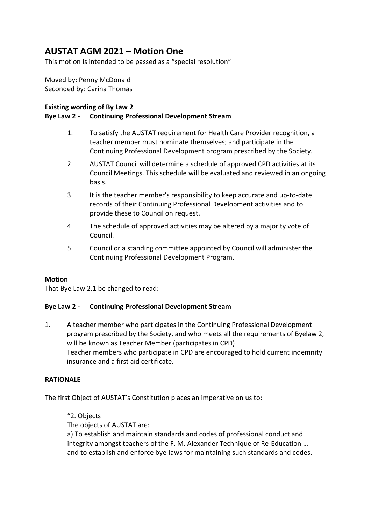# AUSTAT AGM 2021 – Motion One

This motion is intended to be passed as a "special resolution"

Moved by: Penny McDonald Seconded by: Carina Thomas

### Existing wording of By Law 2

## Bye Law 2 - Continuing Professional Development Stream

- 1. To satisfy the AUSTAT requirement for Health Care Provider recognition, a teacher member must nominate themselves; and participate in the Continuing Professional Development program prescribed by the Society.
- 2. AUSTAT Council will determine a schedule of approved CPD activities at its Council Meetings. This schedule will be evaluated and reviewed in an ongoing basis.
- 3. It is the teacher member's responsibility to keep accurate and up-to-date records of their Continuing Professional Development activities and to provide these to Council on request.
- 4. The schedule of approved activities may be altered by a majority vote of Council.
- 5. Council or a standing committee appointed by Council will administer the Continuing Professional Development Program.

#### Motion

That Bye Law 2.1 be changed to read:

#### Bye Law 2 - Continuing Professional Development Stream

1. A teacher member who participates in the Continuing Professional Development program prescribed by the Society, and who meets all the requirements of Byelaw 2, will be known as Teacher Member (participates in CPD) Teacher members who participate in CPD are encouraged to hold current indemnity insurance and a first aid certificate.

#### RATIONALE

The first Object of AUSTAT's Constitution places an imperative on us to:

#### "2. Objects The objects of AUSTAT are:

a) To establish and maintain standards and codes of professional conduct and integrity amongst teachers of the F. M. Alexander Technique of Re-Education … and to establish and enforce bye-laws for maintaining such standards and codes.